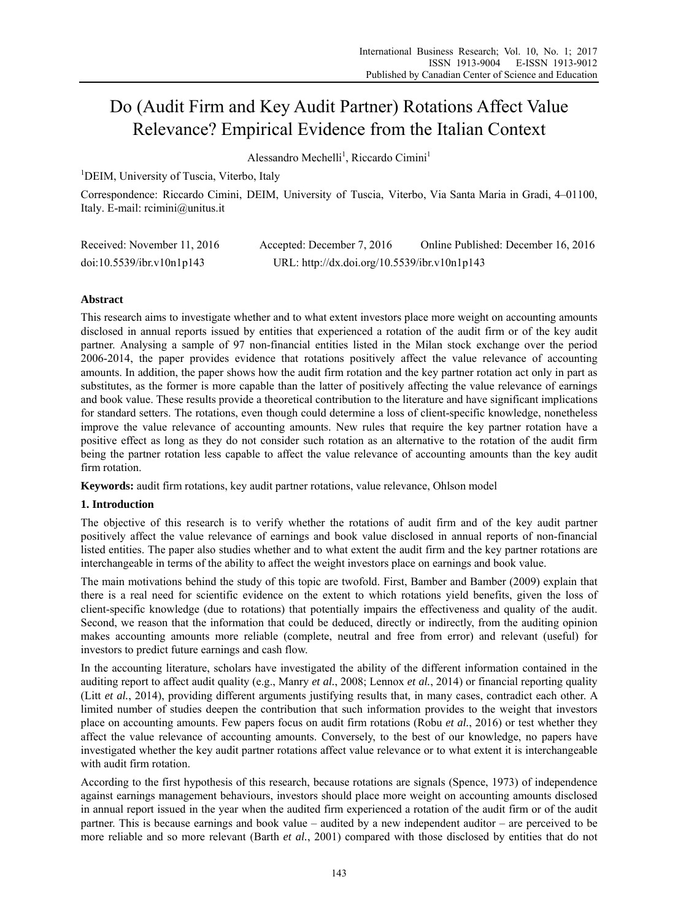# Do (Audit Firm and Key Audit Partner) Rotations Affect Value Relevance? Empirical Evidence from the Italian Context

Alessandro Mechelli<sup>1</sup>, Riccardo Cimini<sup>1</sup>

<sup>1</sup>DEIM, University of Tuscia, Viterbo, Italy

Correspondence: Riccardo Cimini, DEIM, University of Tuscia, Viterbo, Via Santa Maria in Gradi, 4–01100, Italy. E-mail: rcimini@unitus.it

| Received: November 11, 2016 | Accepted: December 7, 2016                   | Online Published: December 16, 2016 |
|-----------------------------|----------------------------------------------|-------------------------------------|
| doi:10.5539/ibr.v10n1p143   | URL: http://dx.doi.org/10.5539/ibr.v10n1p143 |                                     |

# **Abstract**

This research aims to investigate whether and to what extent investors place more weight on accounting amounts disclosed in annual reports issued by entities that experienced a rotation of the audit firm or of the key audit partner. Analysing a sample of 97 non-financial entities listed in the Milan stock exchange over the period 2006-2014, the paper provides evidence that rotations positively affect the value relevance of accounting amounts. In addition, the paper shows how the audit firm rotation and the key partner rotation act only in part as substitutes, as the former is more capable than the latter of positively affecting the value relevance of earnings and book value. These results provide a theoretical contribution to the literature and have significant implications for standard setters. The rotations, even though could determine a loss of client-specific knowledge, nonetheless improve the value relevance of accounting amounts. New rules that require the key partner rotation have a positive effect as long as they do not consider such rotation as an alternative to the rotation of the audit firm being the partner rotation less capable to affect the value relevance of accounting amounts than the key audit firm rotation.

**Keywords:** audit firm rotations, key audit partner rotations, value relevance, Ohlson model

# **1. Introduction**

The objective of this research is to verify whether the rotations of audit firm and of the key audit partner positively affect the value relevance of earnings and book value disclosed in annual reports of non-financial listed entities. The paper also studies whether and to what extent the audit firm and the key partner rotations are interchangeable in terms of the ability to affect the weight investors place on earnings and book value.

The main motivations behind the study of this topic are twofold. First, Bamber and Bamber (2009) explain that there is a real need for scientific evidence on the extent to which rotations yield benefits, given the loss of client-specific knowledge (due to rotations) that potentially impairs the effectiveness and quality of the audit. Second, we reason that the information that could be deduced, directly or indirectly, from the auditing opinion makes accounting amounts more reliable (complete, neutral and free from error) and relevant (useful) for investors to predict future earnings and cash flow.

In the accounting literature, scholars have investigated the ability of the different information contained in the auditing report to affect audit quality (e.g., Manry *et al.*, 2008; Lennox *et al.*, 2014) or financial reporting quality (Litt *et al.*, 2014), providing different arguments justifying results that, in many cases, contradict each other. A limited number of studies deepen the contribution that such information provides to the weight that investors place on accounting amounts. Few papers focus on audit firm rotations (Robu *et al.*, 2016) or test whether they affect the value relevance of accounting amounts. Conversely, to the best of our knowledge, no papers have investigated whether the key audit partner rotations affect value relevance or to what extent it is interchangeable with audit firm rotation.

According to the first hypothesis of this research, because rotations are signals (Spence, 1973) of independence against earnings management behaviours, investors should place more weight on accounting amounts disclosed in annual report issued in the year when the audited firm experienced a rotation of the audit firm or of the audit partner. This is because earnings and book value – audited by a new independent auditor – are perceived to be more reliable and so more relevant (Barth *et al.*, 2001) compared with those disclosed by entities that do not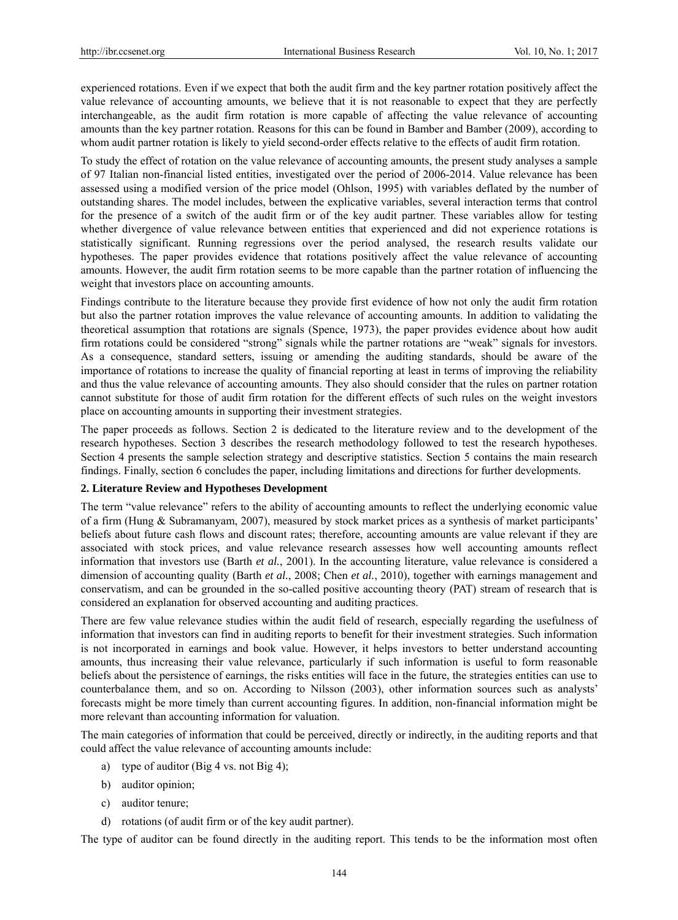experienced rotations. Even if we expect that both the audit firm and the key partner rotation positively affect the value relevance of accounting amounts, we believe that it is not reasonable to expect that they are perfectly interchangeable, as the audit firm rotation is more capable of affecting the value relevance of accounting amounts than the key partner rotation. Reasons for this can be found in Bamber and Bamber (2009), according to whom audit partner rotation is likely to yield second-order effects relative to the effects of audit firm rotation.

To study the effect of rotation on the value relevance of accounting amounts, the present study analyses a sample of 97 Italian non-financial listed entities, investigated over the period of 2006-2014. Value relevance has been assessed using a modified version of the price model (Ohlson, 1995) with variables deflated by the number of outstanding shares. The model includes, between the explicative variables, several interaction terms that control for the presence of a switch of the audit firm or of the key audit partner. These variables allow for testing whether divergence of value relevance between entities that experienced and did not experience rotations is statistically significant. Running regressions over the period analysed, the research results validate our hypotheses. The paper provides evidence that rotations positively affect the value relevance of accounting amounts. However, the audit firm rotation seems to be more capable than the partner rotation of influencing the weight that investors place on accounting amounts.

Findings contribute to the literature because they provide first evidence of how not only the audit firm rotation but also the partner rotation improves the value relevance of accounting amounts. In addition to validating the theoretical assumption that rotations are signals (Spence, 1973), the paper provides evidence about how audit firm rotations could be considered "strong" signals while the partner rotations are "weak" signals for investors. As a consequence, standard setters, issuing or amending the auditing standards, should be aware of the importance of rotations to increase the quality of financial reporting at least in terms of improving the reliability and thus the value relevance of accounting amounts. They also should consider that the rules on partner rotation cannot substitute for those of audit firm rotation for the different effects of such rules on the weight investors place on accounting amounts in supporting their investment strategies.

The paper proceeds as follows. Section 2 is dedicated to the literature review and to the development of the research hypotheses. Section 3 describes the research methodology followed to test the research hypotheses. Section 4 presents the sample selection strategy and descriptive statistics. Section 5 contains the main research findings. Finally, section 6 concludes the paper, including limitations and directions for further developments.

## **2. Literature Review and Hypotheses Development**

The term "value relevance" refers to the ability of accounting amounts to reflect the underlying economic value of a firm (Hung & Subramanyam, 2007), measured by stock market prices as a synthesis of market participants' beliefs about future cash flows and discount rates; therefore, accounting amounts are value relevant if they are associated with stock prices, and value relevance research assesses how well accounting amounts reflect information that investors use (Barth *et al.*, 2001). In the accounting literature, value relevance is considered a dimension of accounting quality (Barth *et al.*, 2008; Chen *et al.*, 2010), together with earnings management and conservatism, and can be grounded in the so-called positive accounting theory (PAT) stream of research that is considered an explanation for observed accounting and auditing practices.

There are few value relevance studies within the audit field of research, especially regarding the usefulness of information that investors can find in auditing reports to benefit for their investment strategies. Such information is not incorporated in earnings and book value. However, it helps investors to better understand accounting amounts, thus increasing their value relevance, particularly if such information is useful to form reasonable beliefs about the persistence of earnings, the risks entities will face in the future, the strategies entities can use to counterbalance them, and so on. According to Nilsson (2003), other information sources such as analysts' forecasts might be more timely than current accounting figures. In addition, non-financial information might be more relevant than accounting information for valuation.

The main categories of information that could be perceived, directly or indirectly, in the auditing reports and that could affect the value relevance of accounting amounts include:

- a) type of auditor (Big 4 vs. not Big 4);
- b) auditor opinion;
- c) auditor tenure;
- d) rotations (of audit firm or of the key audit partner).

The type of auditor can be found directly in the auditing report. This tends to be the information most often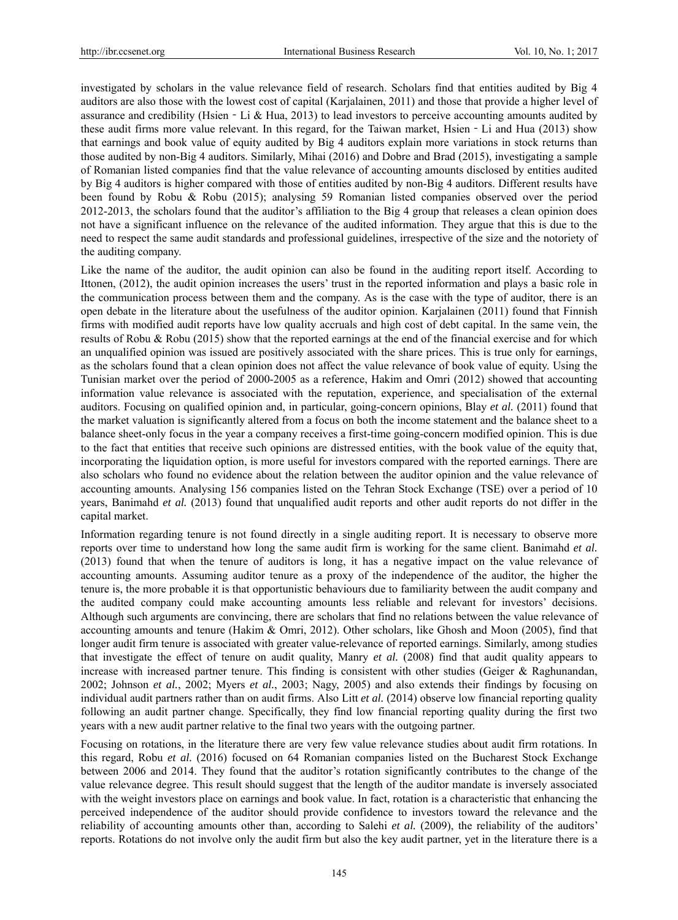investigated by scholars in the value relevance field of research. Scholars find that entities audited by Big 4 auditors are also those with the lowest cost of capital (Karjalainen, 2011) and those that provide a higher level of assurance and credibility (Hsien - Li & Hua, 2013) to lead investors to perceive accounting amounts audited by these audit firms more value relevant. In this regard, for the Taiwan market, Hsien - Li and Hua (2013) show that earnings and book value of equity audited by Big 4 auditors explain more variations in stock returns than those audited by non-Big 4 auditors. Similarly, Mihai (2016) and Dobre and Brad (2015), investigating a sample of Romanian listed companies find that the value relevance of accounting amounts disclosed by entities audited by Big 4 auditors is higher compared with those of entities audited by non-Big 4 auditors. Different results have been found by Robu & Robu (2015); analysing 59 Romanian listed companies observed over the period 2012-2013, the scholars found that the auditor's affiliation to the Big 4 group that releases a clean opinion does not have a significant influence on the relevance of the audited information. They argue that this is due to the need to respect the same audit standards and professional guidelines, irrespective of the size and the notoriety of the auditing company.

Like the name of the auditor, the audit opinion can also be found in the auditing report itself. According to Ittonen, (2012), the audit opinion increases the users' trust in the reported information and plays a basic role in the communication process between them and the company. As is the case with the type of auditor, there is an open debate in the literature about the usefulness of the auditor opinion. Karjalainen (2011) found that Finnish firms with modified audit reports have low quality accruals and high cost of debt capital. In the same vein, the results of Robu & Robu (2015) show that the reported earnings at the end of the financial exercise and for which an unqualified opinion was issued are positively associated with the share prices. This is true only for earnings, as the scholars found that a clean opinion does not affect the value relevance of book value of equity. Using the Tunisian market over the period of 2000-2005 as a reference, Hakim and Omri (2012) showed that accounting information value relevance is associated with the reputation, experience, and specialisation of the external auditors. Focusing on qualified opinion and, in particular, going-concern opinions, Blay *et al.* (2011) found that the market valuation is significantly altered from a focus on both the income statement and the balance sheet to a balance sheet-only focus in the year a company receives a first-time going-concern modified opinion. This is due to the fact that entities that receive such opinions are distressed entities, with the book value of the equity that, incorporating the liquidation option, is more useful for investors compared with the reported earnings. There are also scholars who found no evidence about the relation between the auditor opinion and the value relevance of accounting amounts. Analysing 156 companies listed on the Tehran Stock Exchange (TSE) over a period of 10 years, Banimahd *et al.* (2013) found that unqualified audit reports and other audit reports do not differ in the capital market.

Information regarding tenure is not found directly in a single auditing report. It is necessary to observe more reports over time to understand how long the same audit firm is working for the same client. Banimahd *et al.* (2013) found that when the tenure of auditors is long, it has a negative impact on the value relevance of accounting amounts. Assuming auditor tenure as a proxy of the independence of the auditor, the higher the tenure is, the more probable it is that opportunistic behaviours due to familiarity between the audit company and the audited company could make accounting amounts less reliable and relevant for investors' decisions. Although such arguments are convincing, there are scholars that find no relations between the value relevance of accounting amounts and tenure (Hakim & Omri, 2012). Other scholars, like Ghosh and Moon (2005), find that longer audit firm tenure is associated with greater value-relevance of reported earnings. Similarly, among studies that investigate the effect of tenure on audit quality, Manry *et al.* (2008) find that audit quality appears to increase with increased partner tenure. This finding is consistent with other studies (Geiger & Raghunandan, 2002; Johnson *et al.*, 2002; Myers *et al.*, 2003; Nagy, 2005) and also extends their findings by focusing on individual audit partners rather than on audit firms. Also Litt *et al.* (2014) observe low financial reporting quality following an audit partner change. Specifically, they find low financial reporting quality during the first two years with a new audit partner relative to the final two years with the outgoing partner.

Focusing on rotations, in the literature there are very few value relevance studies about audit firm rotations. In this regard, Robu *et al.* (2016) focused on 64 Romanian companies listed on the Bucharest Stock Exchange between 2006 and 2014. They found that the auditor's rotation significantly contributes to the change of the value relevance degree. This result should suggest that the length of the auditor mandate is inversely associated with the weight investors place on earnings and book value. In fact, rotation is a characteristic that enhancing the perceived independence of the auditor should provide confidence to investors toward the relevance and the reliability of accounting amounts other than, according to Salehi *et al.* (2009), the reliability of the auditors' reports. Rotations do not involve only the audit firm but also the key audit partner, yet in the literature there is a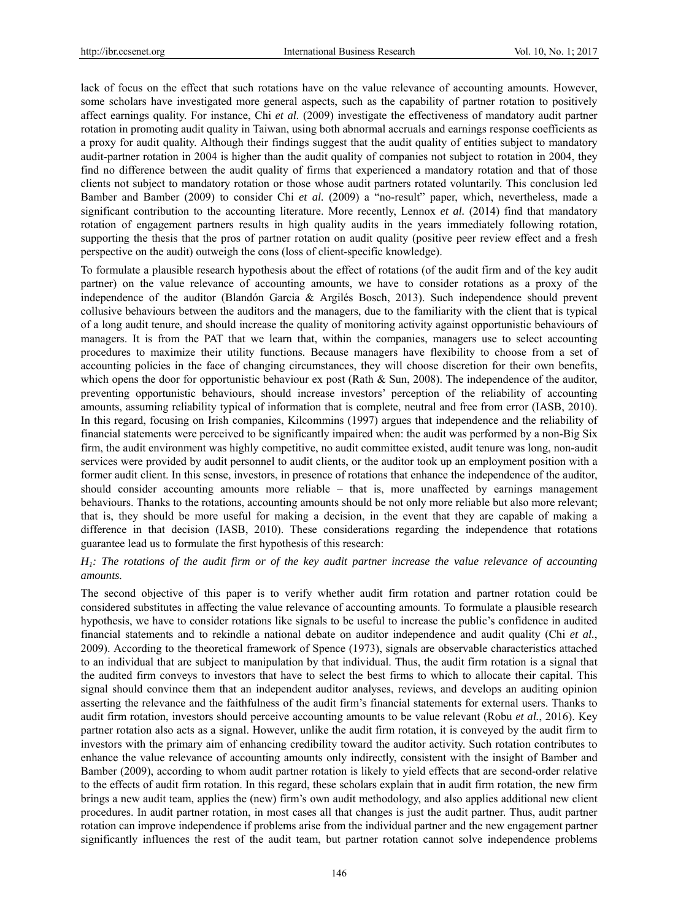lack of focus on the effect that such rotations have on the value relevance of accounting amounts. However, some scholars have investigated more general aspects, such as the capability of partner rotation to positively affect earnings quality. For instance, Chi *et al.* (2009) investigate the effectiveness of mandatory audit partner rotation in promoting audit quality in Taiwan, using both abnormal accruals and earnings response coefficients as a proxy for audit quality. Although their findings suggest that the audit quality of entities subject to mandatory audit-partner rotation in 2004 is higher than the audit quality of companies not subject to rotation in 2004, they find no difference between the audit quality of firms that experienced a mandatory rotation and that of those clients not subject to mandatory rotation or those whose audit partners rotated voluntarily. This conclusion led Bamber and Bamber (2009) to consider Chi *et al.* (2009) a "no-result" paper, which, nevertheless, made a significant contribution to the accounting literature. More recently, Lennox *et al.* (2014) find that mandatory rotation of engagement partners results in high quality audits in the years immediately following rotation, supporting the thesis that the pros of partner rotation on audit quality (positive peer review effect and a fresh perspective on the audit) outweigh the cons (loss of client-specific knowledge).

To formulate a plausible research hypothesis about the effect of rotations (of the audit firm and of the key audit partner) on the value relevance of accounting amounts, we have to consider rotations as a proxy of the independence of the auditor (Blandón Garcia & Argilés Bosch, 2013). Such independence should prevent collusive behaviours between the auditors and the managers, due to the familiarity with the client that is typical of a long audit tenure, and should increase the quality of monitoring activity against opportunistic behaviours of managers. It is from the PAT that we learn that, within the companies, managers use to select accounting procedures to maximize their utility functions. Because managers have flexibility to choose from a set of accounting policies in the face of changing circumstances, they will choose discretion for their own benefits, which opens the door for opportunistic behaviour ex post (Rath & Sun, 2008). The independence of the auditor, preventing opportunistic behaviours, should increase investors' perception of the reliability of accounting amounts, assuming reliability typical of information that is complete, neutral and free from error (IASB, 2010). In this regard, focusing on Irish companies, Kilcommins (1997) argues that independence and the reliability of financial statements were perceived to be significantly impaired when: the audit was performed by a non-Big Six firm, the audit environment was highly competitive, no audit committee existed, audit tenure was long, non-audit services were provided by audit personnel to audit clients, or the auditor took up an employment position with a former audit client. In this sense, investors, in presence of rotations that enhance the independence of the auditor, should consider accounting amounts more reliable – that is, more unaffected by earnings management behaviours. Thanks to the rotations, accounting amounts should be not only more reliable but also more relevant; that is, they should be more useful for making a decision, in the event that they are capable of making a difference in that decision (IASB, 2010). These considerations regarding the independence that rotations guarantee lead us to formulate the first hypothesis of this research:

## *H1: The rotations of the audit firm or of the key audit partner increase the value relevance of accounting amounts.*

The second objective of this paper is to verify whether audit firm rotation and partner rotation could be considered substitutes in affecting the value relevance of accounting amounts. To formulate a plausible research hypothesis, we have to consider rotations like signals to be useful to increase the public's confidence in audited financial statements and to rekindle a national debate on auditor independence and audit quality (Chi *et al.*, 2009). According to the theoretical framework of Spence (1973), signals are observable characteristics attached to an individual that are subject to manipulation by that individual. Thus, the audit firm rotation is a signal that the audited firm conveys to investors that have to select the best firms to which to allocate their capital. This signal should convince them that an independent auditor analyses, reviews, and develops an auditing opinion asserting the relevance and the faithfulness of the audit firm's financial statements for external users. Thanks to audit firm rotation, investors should perceive accounting amounts to be value relevant (Robu *et al.*, 2016). Key partner rotation also acts as a signal. However, unlike the audit firm rotation, it is conveyed by the audit firm to investors with the primary aim of enhancing credibility toward the auditor activity. Such rotation contributes to enhance the value relevance of accounting amounts only indirectly, consistent with the insight of Bamber and Bamber (2009), according to whom audit partner rotation is likely to yield effects that are second-order relative to the effects of audit firm rotation. In this regard, these scholars explain that in audit firm rotation, the new firm brings a new audit team, applies the (new) firm's own audit methodology, and also applies additional new client procedures. In audit partner rotation, in most cases all that changes is just the audit partner. Thus, audit partner rotation can improve independence if problems arise from the individual partner and the new engagement partner significantly influences the rest of the audit team, but partner rotation cannot solve independence problems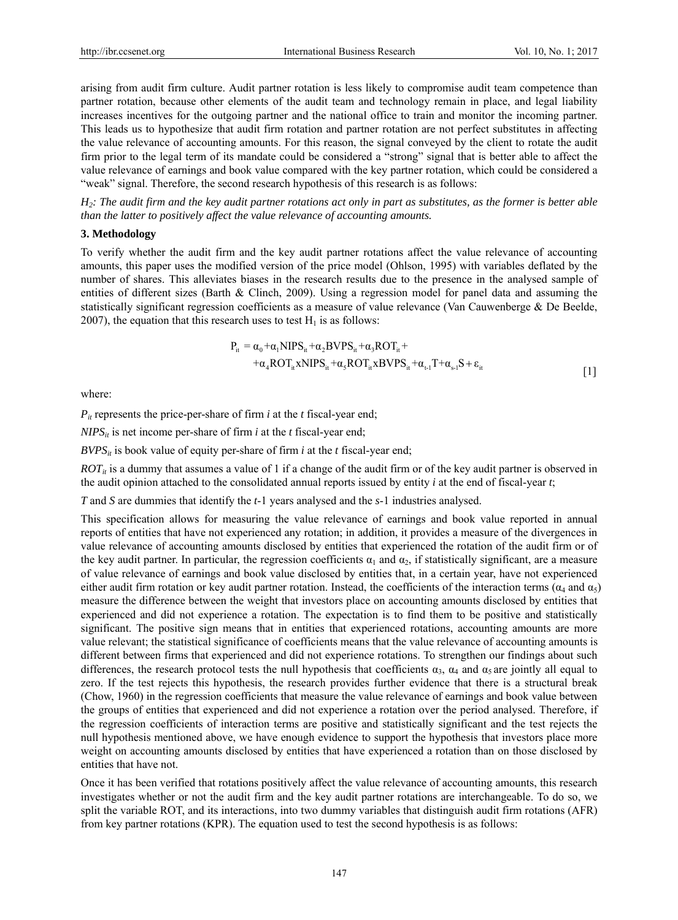arising from audit firm culture. Audit partner rotation is less likely to compromise audit team competence than partner rotation, because other elements of the audit team and technology remain in place, and legal liability increases incentives for the outgoing partner and the national office to train and monitor the incoming partner. This leads us to hypothesize that audit firm rotation and partner rotation are not perfect substitutes in affecting the value relevance of accounting amounts. For this reason, the signal conveyed by the client to rotate the audit firm prior to the legal term of its mandate could be considered a "strong" signal that is better able to affect the value relevance of earnings and book value compared with the key partner rotation, which could be considered a "weak" signal. Therefore, the second research hypothesis of this research is as follows:

*H2: The audit firm and the key audit partner rotations act only in part as substitutes, as the former is better able than the latter to positively affect the value relevance of accounting amounts.*

## **3. Methodology**

To verify whether the audit firm and the key audit partner rotations affect the value relevance of accounting amounts, this paper uses the modified version of the price model (Ohlson, 1995) with variables deflated by the number of shares. This alleviates biases in the research results due to the presence in the analysed sample of entities of different sizes (Barth & Clinch, 2009). Using a regression model for panel data and assuming the statistically significant regression coefficients as a measure of value relevance (Van Cauwenberge & De Beelde, 2007), the equation that this research uses to test  $H_1$  is as follows:

$$
P_{it} = \alpha_0 + \alpha_1 NIPS_{it} + \alpha_2 BVPS_{it} + \alpha_3 ROT_{it} + + \alpha_4 ROT_{it} xNIPS_{it} + \alpha_5 ROT_{it} xBVPS_{it} + \alpha_{t-1} T + \alpha_{s-1} S + \epsilon_{it}
$$
\n[1]

where:

 $P_{it}$  represents the price-per-share of firm *i* at the *t* fiscal-year end;

 $NIPS_{it}$  is net income per-share of firm *i* at the *t* fiscal-year end;

 $BVPS_{it}$  is book value of equity per-share of firm *i* at the *t* fiscal-year end;

 $ROT<sub>it</sub>$  is a dummy that assumes a value of 1 if a change of the audit firm or of the key audit partner is observed in the audit opinion attached to the consolidated annual reports issued by entity *i* at the end of fiscal-year *t*;

*T* and *S* are dummies that identify the *t*-1 years analysed and the *s*-1 industries analysed.

This specification allows for measuring the value relevance of earnings and book value reported in annual reports of entities that have not experienced any rotation; in addition, it provides a measure of the divergences in value relevance of accounting amounts disclosed by entities that experienced the rotation of the audit firm or of the key audit partner. In particular, the regression coefficients  $\alpha_1$  and  $\alpha_2$ , if statistically significant, are a measure of value relevance of earnings and book value disclosed by entities that, in a certain year, have not experienced either audit firm rotation or key audit partner rotation. Instead, the coefficients of the interaction terms ( $\alpha_4$  and  $\alpha_5$ ) measure the difference between the weight that investors place on accounting amounts disclosed by entities that experienced and did not experience a rotation. The expectation is to find them to be positive and statistically significant. The positive sign means that in entities that experienced rotations, accounting amounts are more value relevant; the statistical significance of coefficients means that the value relevance of accounting amounts is different between firms that experienced and did not experience rotations. To strengthen our findings about such differences, the research protocol tests the null hypothesis that coefficients  $\alpha_3$ ,  $\alpha_4$  and  $\alpha_5$  are jointly all equal to zero. If the test rejects this hypothesis, the research provides further evidence that there is a structural break (Chow, 1960) in the regression coefficients that measure the value relevance of earnings and book value between the groups of entities that experienced and did not experience a rotation over the period analysed. Therefore, if the regression coefficients of interaction terms are positive and statistically significant and the test rejects the null hypothesis mentioned above, we have enough evidence to support the hypothesis that investors place more weight on accounting amounts disclosed by entities that have experienced a rotation than on those disclosed by entities that have not.

Once it has been verified that rotations positively affect the value relevance of accounting amounts, this research investigates whether or not the audit firm and the key audit partner rotations are interchangeable. To do so, we split the variable ROT, and its interactions, into two dummy variables that distinguish audit firm rotations (AFR) from key partner rotations (KPR). The equation used to test the second hypothesis is as follows: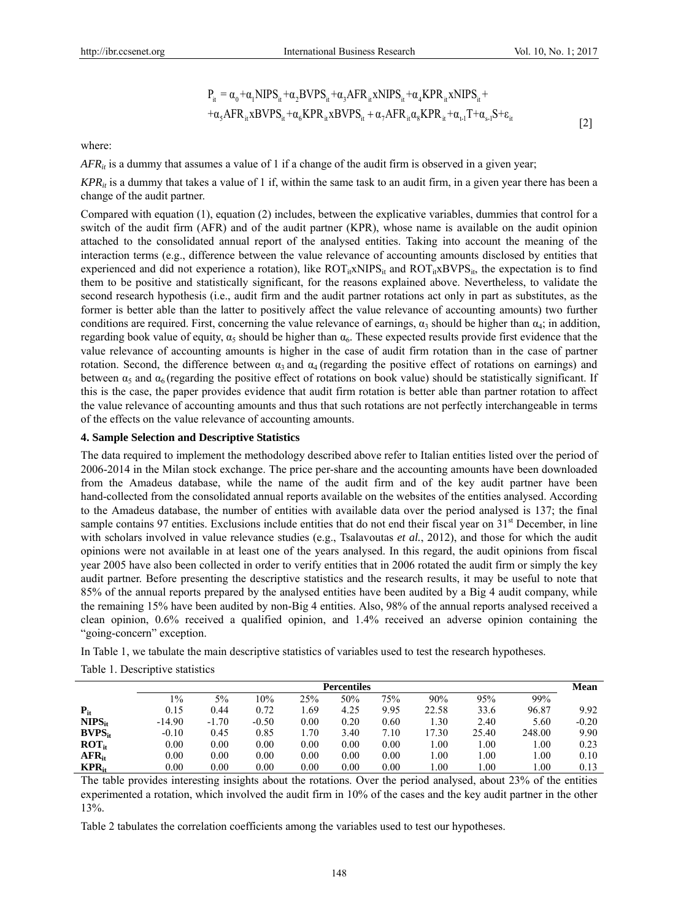$$
P_{it} = \alpha_0 + \alpha_1 NIPS_{it} + \alpha_2 BVPS_{it} + \alpha_3 AFR_{it}XNIPS_{it} + \alpha_4 KPR_{it}XNIPS_{it} + \n+ \alpha_5 AFR_{it}BVPS_{it} + \alpha_6 KPR_{it}XBVPS_{it} + \alpha_7 AFR_{it} \alpha_8 KPR_{it} + \alpha_{t-1} T + \alpha_{s-1} S + \varepsilon_{it}
$$
\n[2]

where:

 $AFR<sub>it</sub>$  is a dummy that assumes a value of 1 if a change of the audit firm is observed in a given year;

 $KPR_{it}$  is a dummy that takes a value of 1 if, within the same task to an audit firm, in a given year there has been a change of the audit partner.

Compared with equation (1), equation (2) includes, between the explicative variables, dummies that control for a switch of the audit firm (AFR) and of the audit partner (KPR), whose name is available on the audit opinion attached to the consolidated annual report of the analysed entities. Taking into account the meaning of the interaction terms (e.g., difference between the value relevance of accounting amounts disclosed by entities that experienced and did not experience a rotation), like  $ROT_{ii}xNIPS_{ii}$  and  $ROT_{ii}xBVPS_{ii}$ , the expectation is to find them to be positive and statistically significant, for the reasons explained above. Nevertheless, to validate the second research hypothesis (i.e., audit firm and the audit partner rotations act only in part as substitutes, as the former is better able than the latter to positively affect the value relevance of accounting amounts) two further conditions are required. First, concerning the value relevance of earnings,  $\alpha_3$  should be higher than  $\alpha_4$ ; in addition, regarding book value of equity,  $\alpha_5$  should be higher than  $\alpha_6$ . These expected results provide first evidence that the value relevance of accounting amounts is higher in the case of audit firm rotation than in the case of partner rotation. Second, the difference between  $α_3$  and  $α_4$  (regarding the positive effect of rotations on earnings) and between  $\alpha_5$  and  $\alpha_6$  (regarding the positive effect of rotations on book value) should be statistically significant. If this is the case, the paper provides evidence that audit firm rotation is better able than partner rotation to affect the value relevance of accounting amounts and thus that such rotations are not perfectly interchangeable in terms of the effects on the value relevance of accounting amounts.

## **4. Sample Selection and Descriptive Statistics**

The data required to implement the methodology described above refer to Italian entities listed over the period of 2006-2014 in the Milan stock exchange. The price per-share and the accounting amounts have been downloaded from the Amadeus database, while the name of the audit firm and of the key audit partner have been hand-collected from the consolidated annual reports available on the websites of the entities analysed. According to the Amadeus database, the number of entities with available data over the period analysed is 137; the final sample contains 97 entities. Exclusions include entities that do not end their fiscal year on  $31<sup>st</sup>$  December, in line with scholars involved in value relevance studies (e.g., Tsalavoutas *et al.*, 2012), and those for which the audit opinions were not available in at least one of the years analysed. In this regard, the audit opinions from fiscal year 2005 have also been collected in order to verify entities that in 2006 rotated the audit firm or simply the key audit partner. Before presenting the descriptive statistics and the research results, it may be useful to note that 85% of the annual reports prepared by the analysed entities have been audited by a Big 4 audit company, while the remaining 15% have been audited by non-Big 4 entities. Also, 98% of the annual reports analysed received a clean opinion, 0.6% received a qualified opinion, and 1.4% received an adverse opinion containing the "going-concern" exception.

In Table 1, we tabulate the main descriptive statistics of variables used to test the research hypotheses.

|                            | <b>Percentiles</b> |         |         |      |      |      |       | Mean  |          |         |
|----------------------------|--------------------|---------|---------|------|------|------|-------|-------|----------|---------|
|                            | $1\%$              | $5\%$   | 10%     | 25%  | 50%  | 75%  | 90%   | 95%   | 99%      |         |
| $P_{it}$                   | 0.15               | 0.44    | 0.72    | 1.69 | 4.25 | 9.95 | 22.58 | 33.6  | 96.87    | 9.92    |
| $NIPS_{it}$                | $-14.90$           | $-1.70$ | $-0.50$ | 0.00 | 0.20 | 0.60 | 1.30  | 2.40  | 5.60     | $-0.20$ |
| $BVPS_{it}$                | $-0.10$            | 0.45    | 0.85    | .70  | 3.40 | 7.10 | 17.30 | 25.40 | 248.00   | 9.90    |
| $\mathbf{ROT}_{it}$        | 0.00               | 0.00    | 0.00    | 0.00 | 0.00 | 0.00 | .00.  | 1.00  | 1.00     | 0.23    |
| $\rm AFR_{it}$             | $0.00\,$           | 0.00    | 0.00    | 0.00 | 0.00 | 0.00 | .00.  | 1.00  | $1.00\,$ | 0.10    |
| $\mathbf{KPR}_{\text{ir}}$ | 0.00               | 0.00    | 0.00    | 0.00 | 0.00 | 0.00 | .00.  | 0.00  | 1.00     | 0.13    |

Table 1. Descriptive statistics

The table provides interesting insights about the rotations. Over the period analysed, about 23% of the entities experimented a rotation, which involved the audit firm in 10% of the cases and the key audit partner in the other 13%.

Table 2 tabulates the correlation coefficients among the variables used to test our hypotheses.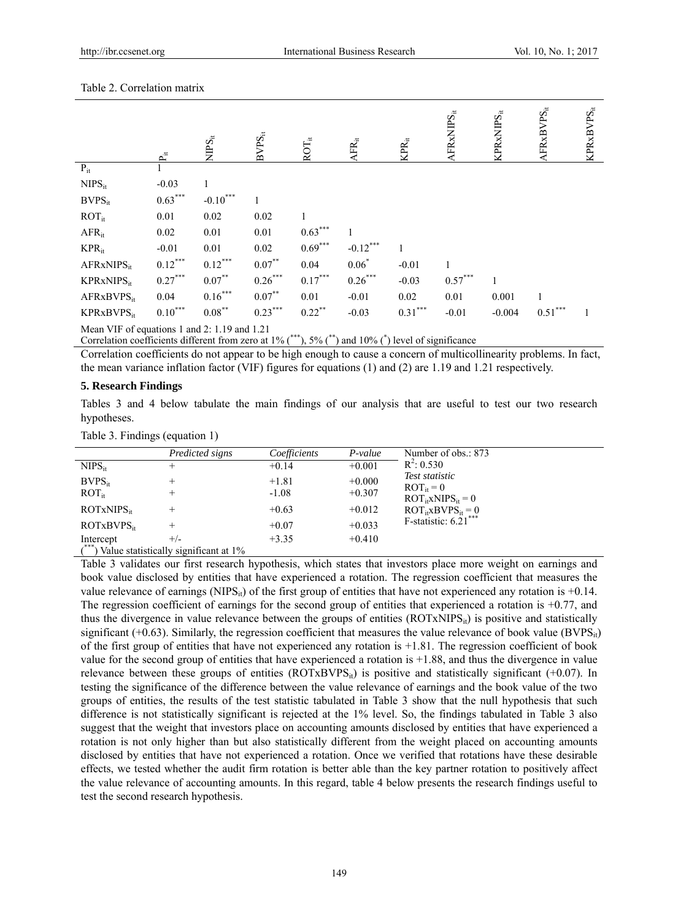#### Table 2. Correlation matrix

|                                              | $\mathbf{p}^{\text{H}}_{\text{H}}$ | $\ensuremath{\mathsf{NIPS}\xspace_\text{it}}$ | $\ensuremath{\mathsf{BVPS}}_{it}$ | $ROT_{it}$ | $\Delta \text{FR}_{\text{i}t}$ | $\rm KPR_{it}$ | <b>AFRxNIPS</b> <sub>it</sub> | $\rm \mathbf{KPR}\mathbf{xNIPS}_{it}$ | <b>AFRxBVPS</b> <sub>it</sub> | $\rm KPRxBVPS_{it}$ |
|----------------------------------------------|------------------------------------|-----------------------------------------------|-----------------------------------|------------|--------------------------------|----------------|-------------------------------|---------------------------------------|-------------------------------|---------------------|
| $P_{it}$                                     |                                    |                                               |                                   |            |                                |                |                               |                                       |                               |                     |
| $NIPS_{it}$                                  | $-0.03$                            | 1                                             |                                   |            |                                |                |                               |                                       |                               |                     |
| BVPS <sub>it</sub>                           | $0.63***$                          | $-0.10***$                                    |                                   |            |                                |                |                               |                                       |                               |                     |
| $ROT_{it}$                                   | 0.01                               | 0.02                                          | 0.02                              | 1          |                                |                |                               |                                       |                               |                     |
| $AFR_{it}$                                   | 0.02                               | 0.01                                          | 0.01                              | $0.63***$  |                                |                |                               |                                       |                               |                     |
| $KPR_{it}$                                   | $-0.01$                            | 0.01                                          | 0.02                              | $0.69***$  | $-0.12***$                     | 1              |                               |                                       |                               |                     |
| $AFRxNIPS_{it}$                              | $0.12***$                          | $0.12***$                                     | $0.07***$                         | 0.04       | $0.06*$                        | $-0.01$        |                               |                                       |                               |                     |
| <b>KPRxNIPS</b> it                           | $0.27***$                          | $0.07***$                                     | $0.26***$                         | $0.17***$  | $0.26***$                      | $-0.03$        | $0.57***$                     |                                       |                               |                     |
| $AFRxBVPS_{it}$                              | 0.04                               | $0.16***$                                     | $0.07***$                         | 0.01       | $-0.01$                        | 0.02           | 0.01                          | 0.001                                 | $\mathbf{1}$                  |                     |
| $KPRxBVPS_{it}$                              | $0.10***$                          | $0.08***$                                     | $0.23***$                         | $0.22***$  | $-0.03$                        | $0.31***$      | $-0.01$                       | $-0.004$                              | $0.51***$                     |                     |
| Mean VIF of equations 1 and 2: 1.19 and 1.21 |                                    |                                               |                                   |            |                                |                |                               |                                       |                               |                     |

Correlation coefficients different from zero at  $1\%$  (\*\*\*),  $5\%$  (\*\*) and  $10\%$  (\*) level of significance

Correlation coefficients do not appear to be high enough to cause a concern of multicollinearity problems. In fact, the mean variance inflation factor (VIF) figures for equations (1) and (2) are 1.19 and 1.21 respectively.

#### **5. Research Findings**

Tables 3 and 4 below tabulate the main findings of our analysis that are useful to test our two research hypotheses.

Table 3. Findings (equation 1)

|                                       | Predicted signs | Coefficients | $P-value$ | Number of obs.: 873              |  |  |
|---------------------------------------|-----------------|--------------|-----------|----------------------------------|--|--|
| $NIPS_{it}$                           | $^+$            | $+0.14$      | $+0.001$  | $R^2$ : 0.530                    |  |  |
| $BVPS_{it}$                           |                 | $+1.81$      | $+0.000$  | Test statistic<br>$ROT_{ii} = 0$ |  |  |
| $ROT_{it}$                            |                 | $-1.08$      | $+0.307$  | $ROT_{it}xNIPS_{it} = 0$         |  |  |
| $ROTxNIPS_{it}$                       | $\, +$          | $+0.63$      | $+0.012$  | $ROT_{it}xBVPS_{it} = 0$         |  |  |
| $ROTxBVPS_{it}$                       | $\, +$          | $+0.07$      | $+0.033$  | F-statistic: 6.21                |  |  |
| Intercept                             | $+/-$           | $+3.35$      | $+0.410$  |                                  |  |  |
| Value statistically significant at 1% |                 |              |           |                                  |  |  |

Table 3 validates our first research hypothesis, which states that investors place more weight on earnings and book value disclosed by entities that have experienced a rotation. The regression coefficient that measures the value relevance of earnings (NIPS<sub>it</sub>) of the first group of entities that have not experienced any rotation is  $+0.14$ . The regression coefficient of earnings for the second group of entities that experienced a rotation is +0.77, and thus the divergence in value relevance between the groups of entities  $(ROTxNIPS_{it})$  is positive and statistically significant (+0.63). Similarly, the regression coefficient that measures the value relevance of book value (BVPS<sub>ii</sub>) of the first group of entities that have not experienced any rotation is +1.81. The regression coefficient of book value for the second group of entities that have experienced a rotation is +1.88, and thus the divergence in value relevance between these groups of entities (ROTxBVPS<sub>it</sub>) is positive and statistically significant (+0.07). In testing the significance of the difference between the value relevance of earnings and the book value of the two groups of entities, the results of the test statistic tabulated in Table 3 show that the null hypothesis that such difference is not statistically significant is rejected at the 1% level. So, the findings tabulated in Table 3 also suggest that the weight that investors place on accounting amounts disclosed by entities that have experienced a rotation is not only higher than but also statistically different from the weight placed on accounting amounts disclosed by entities that have not experienced a rotation. Once we verified that rotations have these desirable effects, we tested whether the audit firm rotation is better able than the key partner rotation to positively affect the value relevance of accounting amounts. In this regard, table 4 below presents the research findings useful to test the second research hypothesis.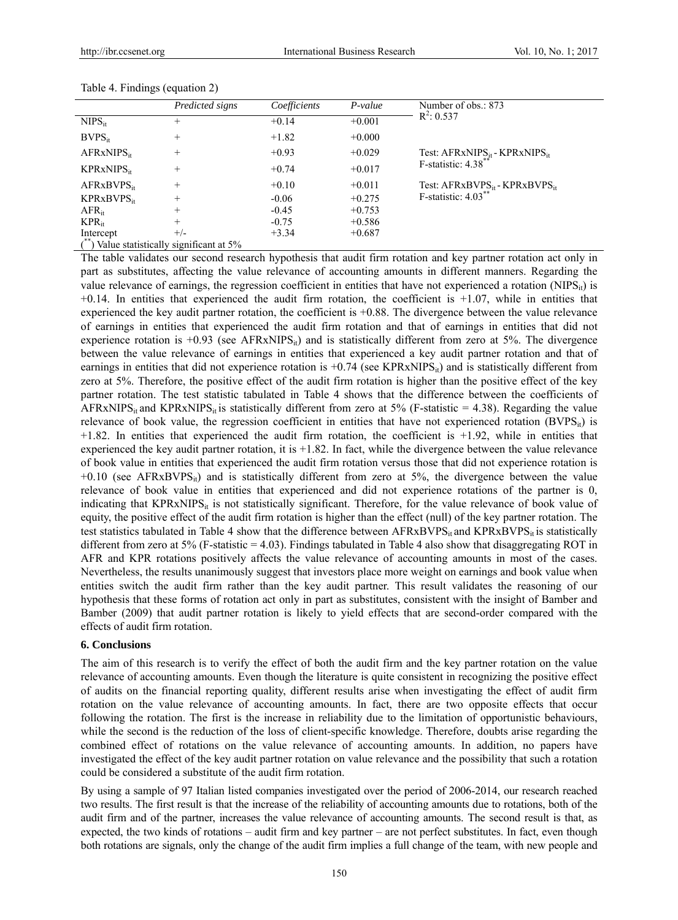|                                       | Predicted signs | Coefficients | P-value  | Number of obs.: 873                                   |  |  |
|---------------------------------------|-----------------|--------------|----------|-------------------------------------------------------|--|--|
| $NIPS_{it}$                           | $^{+}$          | $+0.14$      | $+0.001$ | $R^2$ : 0.537                                         |  |  |
| $BVPS_{it}$                           | $^{+}$          | $+1.82$      | $+0.000$ |                                                       |  |  |
| AFRxNIPS <sub>it</sub>                | $^{+}$          | $+0.93$      | $+0.029$ | Test: AFRxNIPS <sub>it</sub> - KPRxNIPS <sub>it</sub> |  |  |
| $KPRxNIPS_{it}$                       | $^{+}$          | $+0.74$      | $+0.017$ | F-statistic: 4.38                                     |  |  |
| $AFRxBVPS_{it}$                       | $^{+}$          | $+0.10$      | $+0.011$ | Test: AFRxBVPS <sub>it</sub> - KPRxBVPS <sub>it</sub> |  |  |
| $KPRxBVPS_{it}$                       | $^{+}$          | $-0.06$      | $+0.275$ | F-statistic: 4.03                                     |  |  |
| $AFR_{it}$                            | $^+$            | $-0.45$      | $+0.753$ |                                                       |  |  |
| $KPR_{it}$                            | $^{+}$          | $-0.75$      | $+0.586$ |                                                       |  |  |
| Intercept                             | $+/-$           | $+3.34$      | $+0.687$ |                                                       |  |  |
| Value statistically significant at 5% |                 |              |          |                                                       |  |  |

#### Table 4. Findings (equation 2)

The table validates our second research hypothesis that audit firm rotation and key partner rotation act only in part as substitutes, affecting the value relevance of accounting amounts in different manners. Regarding the value relevance of earnings, the regression coefficient in entities that have not experienced a rotation (NIPS $_{il}$ ) is  $+0.14$ . In entities that experienced the audit firm rotation, the coefficient is  $+1.07$ , while in entities that experienced the key audit partner rotation, the coefficient is +0.88. The divergence between the value relevance of earnings in entities that experienced the audit firm rotation and that of earnings in entities that did not experience rotation is  $+0.93$  (see AFRxNIPS<sub>it</sub>) and is statistically different from zero at 5%. The divergence between the value relevance of earnings in entities that experienced a key audit partner rotation and that of earnings in entities that did not experience rotation is  $+0.74$  (see KPRxNIPS<sub>it</sub>) and is statistically different from zero at 5%. Therefore, the positive effect of the audit firm rotation is higher than the positive effect of the key partner rotation. The test statistic tabulated in Table 4 shows that the difference between the coefficients of AFRxNIPS<sub>it</sub> and KPRxNIPS<sub>it</sub> is statistically different from zero at 5% (F-statistic = 4.38). Regarding the value relevance of book value, the regression coefficient in entities that have not experienced rotation  $(BVPS_{ii})$  is +1.82. In entities that experienced the audit firm rotation, the coefficient is +1.92, while in entities that experienced the key audit partner rotation, it is +1.82. In fact, while the divergence between the value relevance of book value in entities that experienced the audit firm rotation versus those that did not experience rotation is  $+0.10$  (see AFRxBVPS<sub>it</sub>) and is statistically different from zero at 5%, the divergence between the value relevance of book value in entities that experienced and did not experience rotations of the partner is 0, indicating that KPRxNIPS<sub>it</sub> is not statistically significant. Therefore, for the value relevance of book value of equity, the positive effect of the audit firm rotation is higher than the effect (null) of the key partner rotation. The test statistics tabulated in Table 4 show that the difference between  $AFRxBVPS<sub>it</sub>$  and  $KPRxBVPS<sub>it</sub>$  is statistically different from zero at 5% (F-statistic = 4.03). Findings tabulated in Table 4 also show that disaggregating ROT in AFR and KPR rotations positively affects the value relevance of accounting amounts in most of the cases. Nevertheless, the results unanimously suggest that investors place more weight on earnings and book value when entities switch the audit firm rather than the key audit partner. This result validates the reasoning of our hypothesis that these forms of rotation act only in part as substitutes, consistent with the insight of Bamber and Bamber (2009) that audit partner rotation is likely to yield effects that are second-order compared with the effects of audit firm rotation.

#### **6. Conclusions**

The aim of this research is to verify the effect of both the audit firm and the key partner rotation on the value relevance of accounting amounts. Even though the literature is quite consistent in recognizing the positive effect of audits on the financial reporting quality, different results arise when investigating the effect of audit firm rotation on the value relevance of accounting amounts. In fact, there are two opposite effects that occur following the rotation. The first is the increase in reliability due to the limitation of opportunistic behaviours, while the second is the reduction of the loss of client-specific knowledge. Therefore, doubts arise regarding the combined effect of rotations on the value relevance of accounting amounts. In addition, no papers have investigated the effect of the key audit partner rotation on value relevance and the possibility that such a rotation could be considered a substitute of the audit firm rotation.

By using a sample of 97 Italian listed companies investigated over the period of 2006-2014, our research reached two results. The first result is that the increase of the reliability of accounting amounts due to rotations, both of the audit firm and of the partner, increases the value relevance of accounting amounts. The second result is that, as expected, the two kinds of rotations – audit firm and key partner – are not perfect substitutes. In fact, even though both rotations are signals, only the change of the audit firm implies a full change of the team, with new people and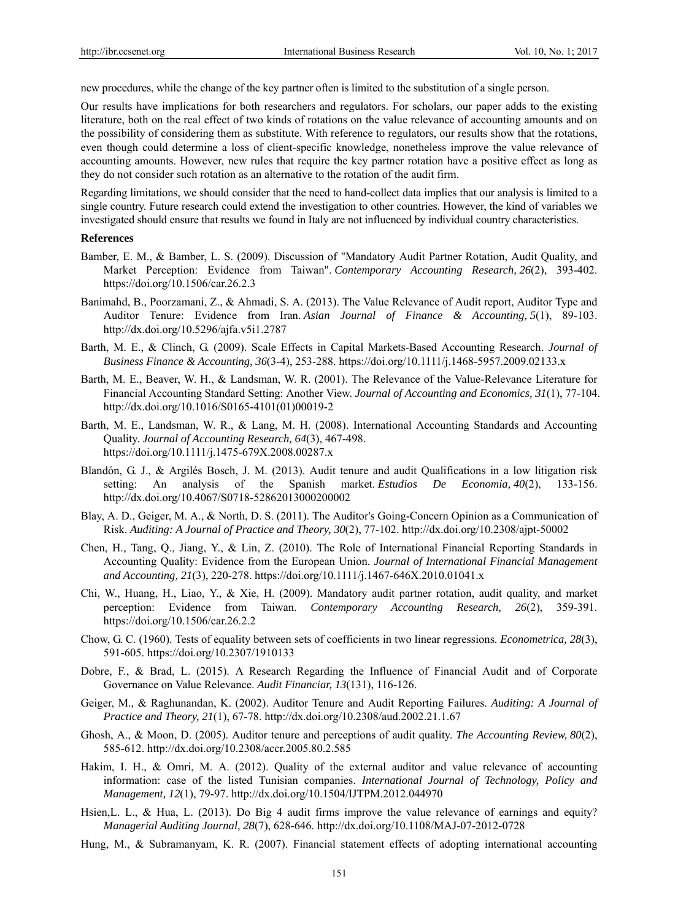new procedures, while the change of the key partner often is limited to the substitution of a single person.

Our results have implications for both researchers and regulators. For scholars, our paper adds to the existing literature, both on the real effect of two kinds of rotations on the value relevance of accounting amounts and on the possibility of considering them as substitute. With reference to regulators, our results show that the rotations, even though could determine a loss of client-specific knowledge, nonetheless improve the value relevance of accounting amounts. However, new rules that require the key partner rotation have a positive effect as long as they do not consider such rotation as an alternative to the rotation of the audit firm.

Regarding limitations, we should consider that the need to hand-collect data implies that our analysis is limited to a single country. Future research could extend the investigation to other countries. However, the kind of variables we investigated should ensure that results we found in Italy are not influenced by individual country characteristics.

#### **References**

- Bamber, E. M., & Bamber, L. S. (2009). Discussion of "Mandatory Audit Partner Rotation, Audit Quality, and Market Perception: Evidence from Taiwan". *Contemporary Accounting Research, 26*(2), 393-402. https://doi.org/10.1506/car.26.2.3
- Banimahd, B., Poorzamani, Z., & Ahmadi, S. A. (2013). The Value Relevance of Audit report, Auditor Type and Auditor Tenure: Evidence from Iran. *Asian Journal of Finance & Accounting, 5*(1), 89-103. http://dx.doi.org/10.5296/ajfa.v5i1.2787
- Barth, M. E., & Clinch, G. (2009). Scale Effects in Capital Markets-Based Accounting Research. *Journal of Business Finance & Accounting, 36*(3-4), 253-288. https://doi.org/10.1111/j.1468-5957.2009.02133.x
- Barth, M. E., Beaver, W. H., & Landsman, W. R. (2001). The Relevance of the Value-Relevance Literature for Financial Accounting Standard Setting: Another View. *Journal of Accounting and Economics, 31*(1), 77-104. http://dx.doi.org/10.1016/S0165-4101(01)00019-2
- Barth, M. E., Landsman, W. R., & Lang, M. H. (2008). International Accounting Standards and Accounting Quality. *Journal of Accounting Research, 64*(3), 467-498. https://doi.org/10.1111/j.1475-679X.2008.00287.x
- Blandón, G. J., & Argilés Bosch, J. M. (2013). Audit tenure and audit Qualifications in a low litigation risk setting: An analysis of the Spanish market. *Estudios De Economia, 40*(2), 133-156. http://dx.doi.org/10.4067/S0718-52862013000200002
- Blay, A. D., Geiger, M. A., & North, D. S. (2011). The Auditor's Going-Concern Opinion as a Communication of Risk. *Auditing: A Journal of Practice and Theory, 30*(2), 77-102. http://dx.doi.org/10.2308/ajpt-50002
- Chen, H., Tang, Q., Jiang, Y., & Lin, Z. (2010). The Role of International Financial Reporting Standards in Accounting Quality: Evidence from the European Union. *Journal of International Financial Management and Accounting, 21*(3), 220-278. https://doi.org/10.1111/j.1467-646X.2010.01041.x
- Chi, W., Huang, H., Liao, Y., & Xie, H. (2009). Mandatory audit partner rotation, audit quality, and market perception: Evidence from Taiwan. *Contemporary Accounting Research, 26*(2), 359-391. https://doi.org/10.1506/car.26.2.2
- Chow, G. C. (1960). Tests of equality between sets of coefficients in two linear regressions. *Econometrica, 28*(3), 591-605. https://doi.org/10.2307/1910133
- Dobre, F., & Brad, L. (2015). A Research Regarding the Influence of Financial Audit and of Corporate Governance on Value Relevance. *Audit Financiar, 13*(131), 116-126.
- Geiger, M., & Raghunandan, K. (2002). Auditor Tenure and Audit Reporting Failures. *Auditing: A Journal of Practice and Theory, 21*(1), 67-78. http://dx.doi.org/10.2308/aud.2002.21.1.67
- Ghosh, A., & Moon, D. (2005). Auditor tenure and perceptions of audit quality. *The Accounting Review, 80*(2), 585-612. http://dx.doi.org/10.2308/accr.2005.80.2.585
- Hakim, I. H., & Omri, M. A. (2012). Quality of the external auditor and value relevance of accounting information: case of the listed Tunisian companies. *International Journal of Technology, Policy and Management, 12*(1), 79-97. http://dx.doi.org/10.1504/IJTPM.2012.044970
- Hsien,L. L., & Hua, L. (2013). Do Big 4 audit firms improve the value relevance of earnings and equity? *Managerial Auditing Journal, 28*(7), 628-646. http://dx.doi.org/10.1108/MAJ-07-2012-0728
- Hung, M., & Subramanyam, K. R. (2007). Financial statement effects of adopting international accounting